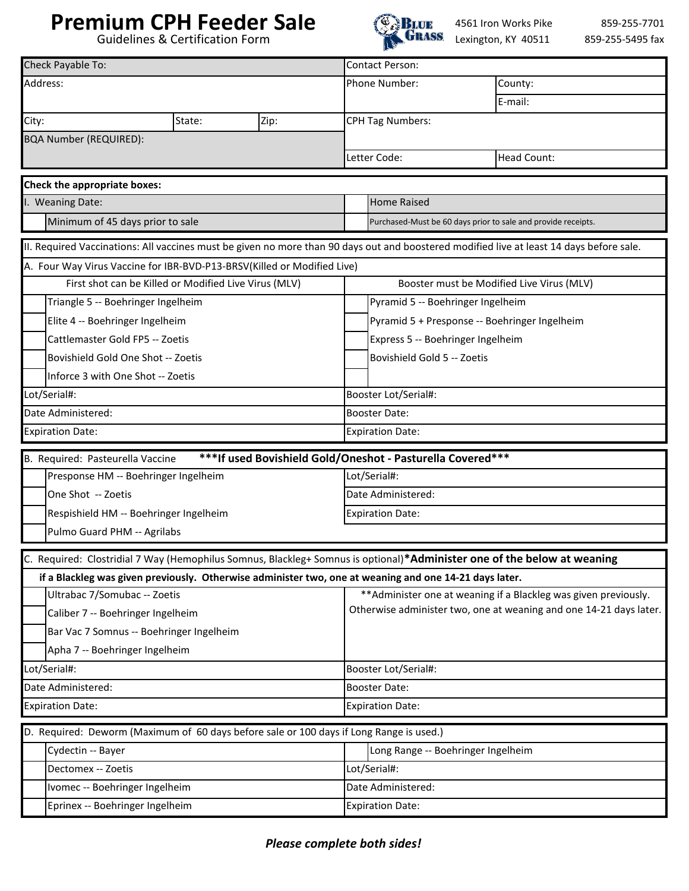## **Premium CPH Feeder Sale**

Guidelines & Certification Form



4561 Iron Works Pike GRASS Lexington, KY 40511

859-255-7701 859-255-5495 fax

| Check Payable To:               |                                                                                                                                        |  |  |                                               | <b>Contact Person:</b>                                                                                                                 |                                                                                                                                          |  |
|---------------------------------|----------------------------------------------------------------------------------------------------------------------------------------|--|--|-----------------------------------------------|----------------------------------------------------------------------------------------------------------------------------------------|------------------------------------------------------------------------------------------------------------------------------------------|--|
|                                 | Address:                                                                                                                               |  |  |                                               | Phone Number:                                                                                                                          | County:                                                                                                                                  |  |
|                                 |                                                                                                                                        |  |  |                                               |                                                                                                                                        | E-mail:                                                                                                                                  |  |
| City:<br>State:<br>Zip:         |                                                                                                                                        |  |  |                                               | <b>CPH Tag Numbers:</b>                                                                                                                |                                                                                                                                          |  |
|                                 | <b>BQA Number (REQUIRED):</b>                                                                                                          |  |  |                                               |                                                                                                                                        |                                                                                                                                          |  |
|                                 |                                                                                                                                        |  |  |                                               | Letter Code:                                                                                                                           | <b>Head Count:</b>                                                                                                                       |  |
|                                 | Check the appropriate boxes:                                                                                                           |  |  |                                               |                                                                                                                                        |                                                                                                                                          |  |
|                                 | I. Weaning Date:                                                                                                                       |  |  |                                               | <b>Home Raised</b>                                                                                                                     |                                                                                                                                          |  |
|                                 | Minimum of 45 days prior to sale                                                                                                       |  |  |                                               |                                                                                                                                        | Purchased-Must be 60 days prior to sale and provide receipts.                                                                            |  |
|                                 |                                                                                                                                        |  |  |                                               |                                                                                                                                        |                                                                                                                                          |  |
|                                 |                                                                                                                                        |  |  |                                               |                                                                                                                                        | II. Required Vaccinations: All vaccines must be given no more than 90 days out and boostered modified live at least 14 days before sale. |  |
|                                 | A. Four Way Virus Vaccine for IBR-BVD-P13-BRSV(Killed or Modified Live)                                                                |  |  |                                               |                                                                                                                                        |                                                                                                                                          |  |
|                                 | First shot can be Killed or Modified Live Virus (MLV)                                                                                  |  |  |                                               | Booster must be Modified Live Virus (MLV)                                                                                              |                                                                                                                                          |  |
|                                 | Triangle 5 -- Boehringer Ingelheim                                                                                                     |  |  |                                               | Pyramid 5 -- Boehringer Ingelheim                                                                                                      |                                                                                                                                          |  |
| Elite 4 -- Boehringer Ingelheim |                                                                                                                                        |  |  | Pyramid 5 + Presponse -- Boehringer Ingelheim |                                                                                                                                        |                                                                                                                                          |  |
|                                 | Cattlemaster Gold FP5 -- Zoetis                                                                                                        |  |  |                                               | Express 5 -- Boehringer Ingelheim                                                                                                      |                                                                                                                                          |  |
|                                 | Bovishield Gold One Shot -- Zoetis                                                                                                     |  |  |                                               | Bovishield Gold 5 -- Zoetis                                                                                                            |                                                                                                                                          |  |
|                                 | Inforce 3 with One Shot -- Zoetis                                                                                                      |  |  |                                               |                                                                                                                                        |                                                                                                                                          |  |
| Lot/Serial#:                    |                                                                                                                                        |  |  |                                               | Booster Lot/Serial#:                                                                                                                   |                                                                                                                                          |  |
|                                 | Date Administered:                                                                                                                     |  |  |                                               | <b>Booster Date:</b>                                                                                                                   |                                                                                                                                          |  |
|                                 | <b>Expiration Date:</b>                                                                                                                |  |  |                                               | <b>Expiration Date:</b>                                                                                                                |                                                                                                                                          |  |
|                                 | B. Required: Pasteurella Vaccine                                                                                                       |  |  |                                               | *** If used Bovishield Gold/Oneshot - Pasturella Covered***                                                                            |                                                                                                                                          |  |
|                                 | Presponse HM -- Boehringer Ingelheim                                                                                                   |  |  |                                               | Lot/Serial#:                                                                                                                           |                                                                                                                                          |  |
|                                 | One Shot -- Zoetis                                                                                                                     |  |  |                                               | Date Administered:                                                                                                                     |                                                                                                                                          |  |
|                                 | Respishield HM -- Boehringer Ingelheim                                                                                                 |  |  |                                               | <b>Expiration Date:</b>                                                                                                                |                                                                                                                                          |  |
|                                 | Pulmo Guard PHM -- Agrilabs                                                                                                            |  |  |                                               |                                                                                                                                        |                                                                                                                                          |  |
|                                 |                                                                                                                                        |  |  |                                               |                                                                                                                                        |                                                                                                                                          |  |
|                                 |                                                                                                                                        |  |  |                                               |                                                                                                                                        | C. Required: Clostridial 7 Way (Hemophilus Somnus, Blackleg+ Somnus is optional)*Administer one of the below at weaning                  |  |
|                                 | if a Blackleg was given previously. Otherwise administer two, one at weaning and one 14-21 days later.<br>Ultrabac 7/Somubac -- Zoetis |  |  |                                               |                                                                                                                                        |                                                                                                                                          |  |
|                                 | Caliber 7 -- Boehringer Ingelheim                                                                                                      |  |  |                                               | ** Administer one at weaning if a Blackleg was given previously.<br>Otherwise administer two, one at weaning and one 14-21 days later. |                                                                                                                                          |  |
|                                 | Bar Vac 7 Somnus -- Boehringer Ingelheim                                                                                               |  |  |                                               |                                                                                                                                        |                                                                                                                                          |  |
|                                 |                                                                                                                                        |  |  |                                               |                                                                                                                                        |                                                                                                                                          |  |
| Apha 7 -- Boehringer Ingelheim  |                                                                                                                                        |  |  | Booster Lot/Serial#:                          |                                                                                                                                        |                                                                                                                                          |  |
| Lot/Serial#:                    |                                                                                                                                        |  |  | <b>Booster Date:</b>                          |                                                                                                                                        |                                                                                                                                          |  |
| Date Administered:              |                                                                                                                                        |  |  |                                               | <b>Expiration Date:</b>                                                                                                                |                                                                                                                                          |  |
| <b>Expiration Date:</b>         |                                                                                                                                        |  |  |                                               |                                                                                                                                        |                                                                                                                                          |  |
|                                 | D. Required: Deworm (Maximum of 60 days before sale or 100 days if Long Range is used.)                                                |  |  |                                               |                                                                                                                                        |                                                                                                                                          |  |
|                                 | Cydectin -- Bayer                                                                                                                      |  |  |                                               | Long Range -- Boehringer Ingelheim                                                                                                     |                                                                                                                                          |  |
|                                 | Dectomex -- Zoetis                                                                                                                     |  |  |                                               | Lot/Serial#:                                                                                                                           |                                                                                                                                          |  |
|                                 | Ivomec -- Boehringer Ingelheim                                                                                                         |  |  |                                               | Date Administered:                                                                                                                     |                                                                                                                                          |  |
|                                 | Eprinex -- Boehringer Ingelheim                                                                                                        |  |  |                                               | <b>Expiration Date:</b>                                                                                                                |                                                                                                                                          |  |